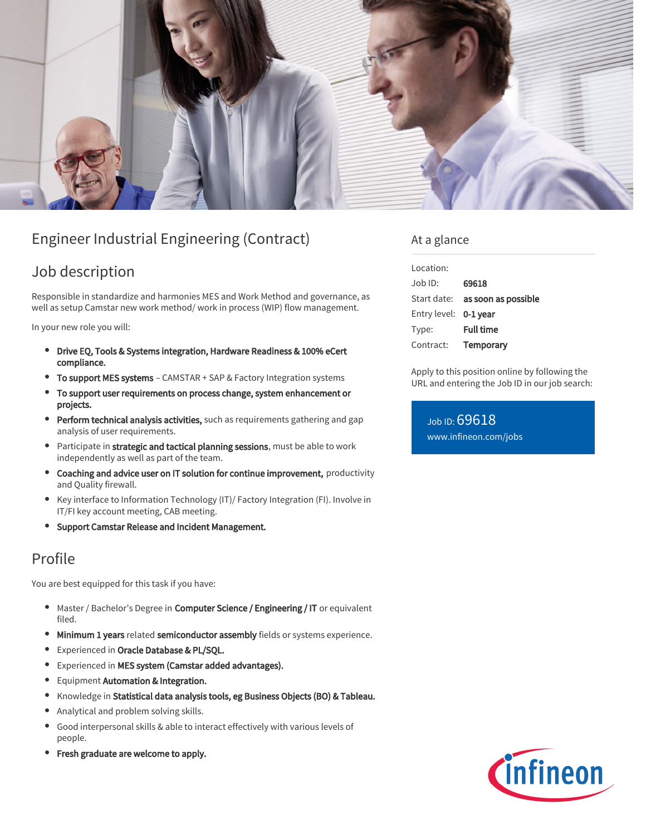

# Engineer Industrial Engineering (Contract)

## Job description

Responsible in standardize and harmonies MES and Work Method and governance, as well as setup Camstar new work method/ work in process (WIP) flow management.

In your new role you will:

- Drive EQ, Tools & Systems integration, Hardware Readiness & 100% eCert compliance.
- To support MES systems CAMSTAR + SAP & Factory Integration systems
- To support user requirements on process change, system enhancement or projects.
- **Perform technical analysis activities,** such as requirements gathering and gap analysis of user requirements.
- Participate in strategic and tactical planning sessions, must be able to work independently as well as part of the team.
- Coaching and advice user on IT solution for continue improvement, productivity and Quality firewall.
- Key interface to Information Technology (IT)/ Factory Integration (FI). Involve in IT/FI key account meeting, CAB meeting.
- **Support Camstar Release and Incident Management.**

### Profile

You are best equipped for this task if you have:

- Master / Bachelor's Degree in Computer Science / Engineering / IT or equivalent filed.
- $\bullet$ Minimum 1 years related semiconductor assembly fields or systems experience.
- **•** Experienced in Oracle Database & PL/SQL.
- $\bullet$ Experienced in MES system (Camstar added advantages).
- **•** Equipment Automation & Integration.
- $\bullet$ Knowledge in Statistical data analysis tools, eg Business Objects (BO) & Tableau.
- Analytical and problem solving skills.
- Good interpersonal skills & able to interact effectively with various levels of people.
- Fresh graduate are welcome to apply.

### At a glance

| Location:             |                     |
|-----------------------|---------------------|
| $Joh$ ID:             | 69618               |
| Start date:           | as soon as possible |
| Entry level: 0-1 year |                     |
| Type:                 | <b>Full time</b>    |
| Contract:             | Temporary           |

Apply to this position online by following the URL and entering the Job ID in our job search:

Job ID: 69618 [www.infineon.com/jobs](https://www.infineon.com/jobs)